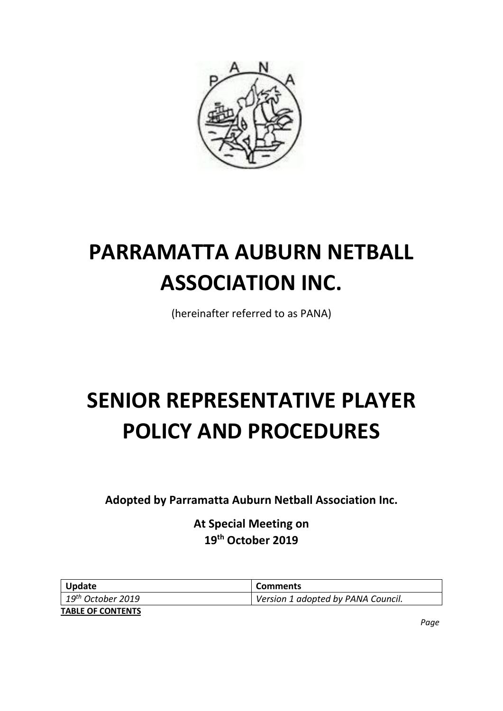

# **PARRAMATTA AUBURN NETBALL ASSOCIATION INC.**

(hereinafter referred to as PANA)

# **SENIOR REPRESENTATIVE PLAYER POLICY AND PROCEDURES**

**Adopted by Parramatta Auburn Netball Association Inc.**

**At Special Meeting on 19th October 2019**

| <b>Update</b>                        | <b>Comments</b>                    |
|--------------------------------------|------------------------------------|
| $\mid$ 19 <sup>th</sup> October 2019 | Version 1 adopted by PANA Council. |
| <b>TABLE OF CONTENTS</b>             |                                    |

*Page*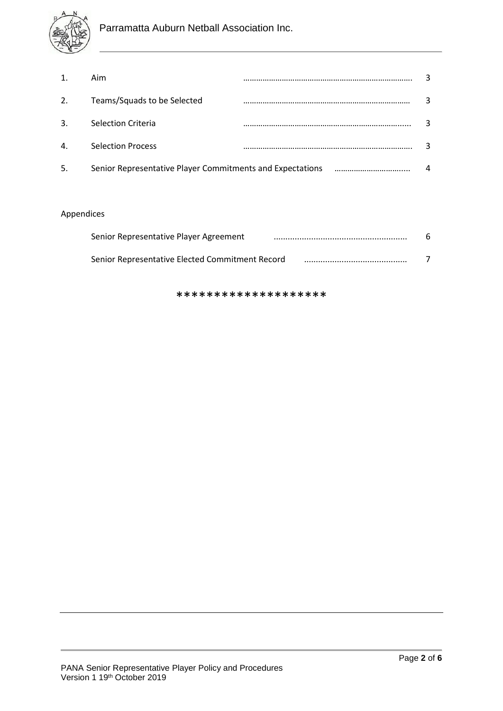

|              | Aim                                                       |  |
|--------------|-----------------------------------------------------------|--|
| 2.           | Teams/Squads to be Selected                               |  |
| 3.           | <b>Selection Criteria</b>                                 |  |
| $\mathbf{4}$ | <b>Selection Process</b>                                  |  |
| -5.          | Senior Representative Player Commitments and Expectations |  |

### Appendices

| Senior Representative Player Agreement          |  |
|-------------------------------------------------|--|
| Senior Representative Elected Commitment Record |  |

\*\*\*\*\*\*\*\*\*\*\*\*\*\*\*\*\*\*\*\*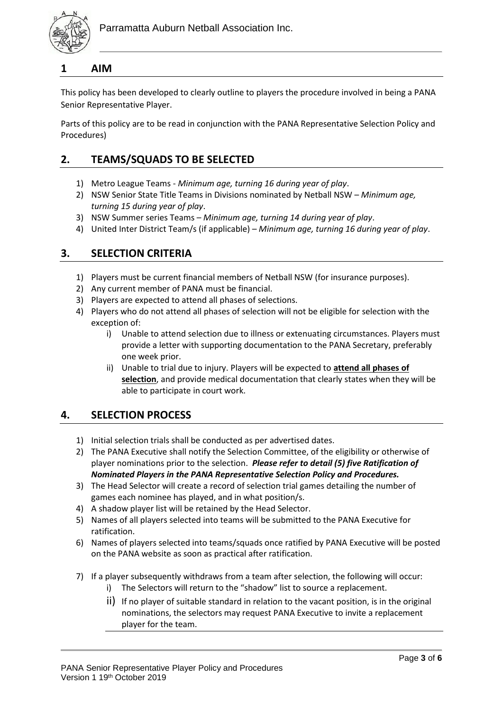

#### **1 AIM**

This policy has been developed to clearly outline to players the procedure involved in being a PANA Senior Representative Player.

Parts of this policy are to be read in conjunction with the PANA Representative Selection Policy and Procedures)

## **2. TEAMS/SQUADS TO BE SELECTED**

- 1) Metro League Teams *Minimum age, turning 16 during year of play*.
- 2) NSW Senior State Title Teams in Divisions nominated by Netball NSW *Minimum age, turning 15 during year of play*.
- 3) NSW Summer series Teams *Minimum age, turning 14 during year of play*.
- 4) United Inter District Team/s (if applicable) *Minimum age, turning 16 during year of play*.

### **3. SELECTION CRITERIA**

- 1) Players must be current financial members of Netball NSW (for insurance purposes).
- 2) Any current member of PANA must be financial.
- 3) Players are expected to attend all phases of selections.
- 4) Players who do not attend all phases of selection will not be eligible for selection with the exception of:
	- i) Unable to attend selection due to illness or extenuating circumstances. Players must provide a letter with supporting documentation to the PANA Secretary, preferably one week prior.
	- ii) Unable to trial due to injury. Players will be expected to **attend all phases of selection**, and provide medical documentation that clearly states when they will be able to participate in court work.

#### **4. SELECTION PROCESS**

- 1) Initial selection trials shall be conducted as per advertised dates.
- 2) The PANA Executive shall notify the Selection Committee, of the eligibility or otherwise of player nominations prior to the selection. *Please refer to detail (5) five Ratification of Nominated Players in the PANA Representative Selection Policy and Procedures.*
- 3) The Head Selector will create a record of selection trial games detailing the number of games each nominee has played, and in what position/s.
- 4) A shadow player list will be retained by the Head Selector.
- 5) Names of all players selected into teams will be submitted to the PANA Executive for ratification.
- 6) Names of players selected into teams/squads once ratified by PANA Executive will be posted on the PANA website as soon as practical after ratification.
- 7) If a player subsequently withdraws from a team after selection, the following will occur:
	- i) The Selectors will return to the "shadow" list to source a replacement.
	- ii) If no player of suitable standard in relation to the vacant position, is in the original nominations, the selectors may request PANA Executive to invite a replacement player for the team.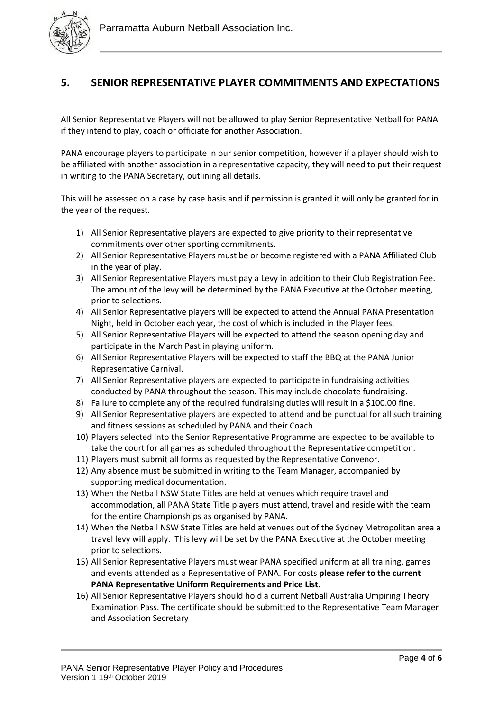

## **5. SENIOR REPRESENTATIVE PLAYER COMMITMENTS AND EXPECTATIONS**

All Senior Representative Players will not be allowed to play Senior Representative Netball for PANA if they intend to play, coach or officiate for another Association.

PANA encourage players to participate in our senior competition, however if a player should wish to be affiliated with another association in a representative capacity, they will need to put their request in writing to the PANA Secretary, outlining all details.

This will be assessed on a case by case basis and if permission is granted it will only be granted for in the year of the request.

- 1) All Senior Representative players are expected to give priority to their representative commitments over other sporting commitments.
- 2) All Senior Representative Players must be or become registered with a PANA Affiliated Club in the year of play.
- 3) All Senior Representative Players must pay a Levy in addition to their Club Registration Fee. The amount of the levy will be determined by the PANA Executive at the October meeting, prior to selections.
- 4) All Senior Representative players will be expected to attend the Annual PANA Presentation Night, held in October each year, the cost of which is included in the Player fees.
- 5) All Senior Representative Players will be expected to attend the season opening day and participate in the March Past in playing uniform.
- 6) All Senior Representative Players will be expected to staff the BBQ at the PANA Junior Representative Carnival.
- 7) All Senior Representative players are expected to participate in fundraising activities conducted by PANA throughout the season. This may include chocolate fundraising.
- 8) Failure to complete any of the required fundraising duties will result in a \$100.00 fine.
- 9) All Senior Representative players are expected to attend and be punctual for all such training and fitness sessions as scheduled by PANA and their Coach.
- 10) Players selected into the Senior Representative Programme are expected to be available to take the court for all games as scheduled throughout the Representative competition.
- 11) Players must submit all forms as requested by the Representative Convenor.
- 12) Any absence must be submitted in writing to the Team Manager, accompanied by supporting medical documentation.
- 13) When the Netball NSW State Titles are held at venues which require travel and accommodation, all PANA State Title players must attend, travel and reside with the team for the entire Championships as organised by PANA.
- 14) When the Netball NSW State Titles are held at venues out of the Sydney Metropolitan area a travel levy will apply. This levy will be set by the PANA Executive at the October meeting prior to selections.
- 15) All Senior Representative Players must wear PANA specified uniform at all training, games and events attended as a Representative of PANA. For costs **please refer to the current PANA Representative Uniform Requirements and Price List.**
- 16) All Senior Representative Players should hold a current Netball Australia Umpiring Theory Examination Pass. The certificate should be submitted to the Representative Team Manager and Association Secretary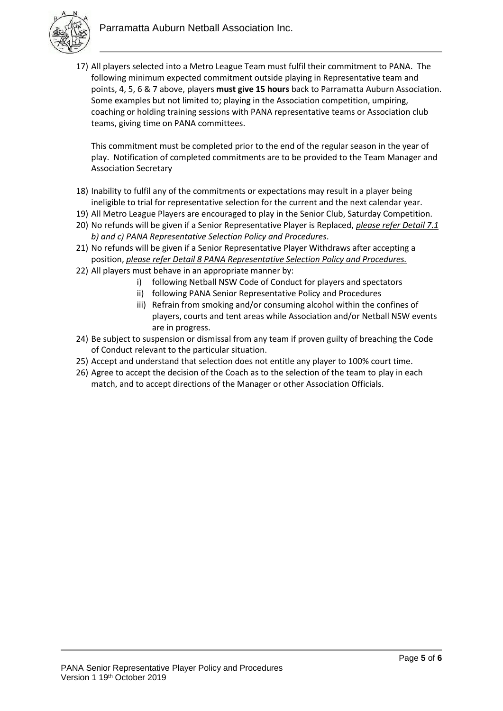

17) All players selected into a Metro League Team must fulfil their commitment to PANA. The following minimum expected commitment outside playing in Representative team and points, 4, 5, 6 & 7 above, players **must give 15 hours** back to Parramatta Auburn Association. Some examples but not limited to; playing in the Association competition, umpiring, coaching or holding training sessions with PANA representative teams or Association club teams, giving time on PANA committees.

This commitment must be completed prior to the end of the regular season in the year of play. Notification of completed commitments are to be provided to the Team Manager and Association Secretary

- 18) Inability to fulfil any of the commitments or expectations may result in a player being ineligible to trial for representative selection for the current and the next calendar year.
- 19) All Metro League Players are encouraged to play in the Senior Club, Saturday Competition.
- 20) No refunds will be given if a Senior Representative Player is Replaced, *please refer Detail 7.1 b) and c) PANA Representative Selection Policy and Procedures*.
- 21) No refunds will be given if a Senior Representative Player Withdraws after accepting a position, *please refer Detail 8 PANA Representative Selection Policy and Procedures.*
- 22) All players must behave in an appropriate manner by:
	- i) following Netball NSW Code of Conduct for players and spectators
	- ii) following PANA Senior Representative Policy and Procedures
	- iii) Refrain from smoking and/or consuming alcohol within the confines of players, courts and tent areas while Association and/or Netball NSW events are in progress.
- 24) Be subject to suspension or dismissal from any team if proven guilty of breaching the Code of Conduct relevant to the particular situation.
- 25) Accept and understand that selection does not entitle any player to 100% court time.
- 26) Agree to accept the decision of the Coach as to the selection of the team to play in each match, and to accept directions of the Manager or other Association Officials.